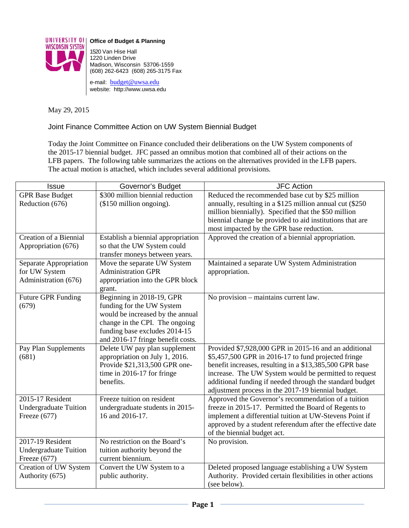

**Office of Budget & Planning**

1520 Van Hise Hall 1220 Linden Drive Madison, Wisconsin 53706-1559 (608) 262-6423 (608) 265-3175 Fax

e-mail: [budget@uwsa.edu](mailto:budget@uwsa.edu) website: http://www.uwsa.edu

May 29, 2015

Joint Finance Committee Action on UW System Biennial Budget

Today the Joint Committee on Finance concluded their deliberations on the UW System components of the 2015-17 biennial budget. JFC passed an omnibus motion that combined all of their actions on the LFB papers. The following table summarizes the actions on the alternatives provided in the LFB papers. The actual motion is attached, which includes several additional provisions.

| Issue                        | Governor's Budget                                               | <b>JFC Action</b>                                          |
|------------------------------|-----------------------------------------------------------------|------------------------------------------------------------|
| <b>GPR Base Budget</b>       | \$300 million biennial reduction                                | Reduced the recommended base cut by \$25 million           |
| Reduction (676)              | (\$150 million ongoing).                                        | annually, resulting in a \$125 million annual cut (\$250)  |
|                              |                                                                 | million biennially). Specified that the \$50 million       |
|                              |                                                                 | biennial change be provided to aid institutions that are   |
|                              |                                                                 | most impacted by the GPR base reduction.                   |
| Creation of a Biennial       | Establish a biennial appropriation                              | Approved the creation of a biennial appropriation.         |
| Appropriation (676)          | so that the UW System could                                     |                                                            |
|                              | transfer moneys between years.                                  |                                                            |
| Separate Appropriation       | Move the separate UW System                                     | Maintained a separate UW System Administration             |
| for UW System                | <b>Administration GPR</b>                                       | appropriation.                                             |
| Administration (676)         | appropriation into the GPR block                                |                                                            |
|                              | grant.                                                          |                                                            |
| <b>Future GPR Funding</b>    | Beginning in 2018-19, GPR                                       | No provision – maintains current law.                      |
| (679)                        | funding for the UW System                                       |                                                            |
|                              | would be increased by the annual                                |                                                            |
|                              | change in the CPI. The ongoing<br>funding base excludes 2014-15 |                                                            |
|                              | and 2016-17 fringe benefit costs.                               |                                                            |
| Pay Plan Supplements         | Delete UW pay plan supplement                                   | Provided \$7,928,000 GPR in 2015-16 and an additional      |
| (681)                        | appropriation on July 1, 2016.                                  | \$5,457,500 GPR in 2016-17 to fund projected fringe        |
|                              | Provide \$21,313,500 GPR one-                                   | benefit increases, resulting in a \$13,385,500 GPR base    |
|                              | time in 2016-17 for fringe                                      | increase. The UW System would be permitted to request      |
|                              | benefits.                                                       | additional funding if needed through the standard budget   |
|                              |                                                                 | adjustment process in the 2017-19 biennial budget.         |
| 2015-17 Resident             | Freeze tuition on resident                                      | Approved the Governor's recommendation of a tuition        |
| <b>Undergraduate Tuition</b> | undergraduate students in 2015-                                 | freeze in 2015-17. Permitted the Board of Regents to       |
| Freeze $(677)$               | 16 and 2016-17.                                                 | implement a differential tuition at UW-Stevens Point if    |
|                              |                                                                 | approved by a student referendum after the effective date  |
|                              |                                                                 | of the biennial budget act.                                |
| 2017-19 Resident             | No restriction on the Board's                                   | No provision.                                              |
| <b>Undergraduate Tuition</b> | tuition authority beyond the                                    |                                                            |
| Freeze $(677)$               | current biennium.                                               |                                                            |
| Creation of UW System        | Convert the UW System to a                                      | Deleted proposed language establishing a UW System         |
| Authority (675)              | public authority.                                               | Authority. Provided certain flexibilities in other actions |
|                              |                                                                 | (see below).                                               |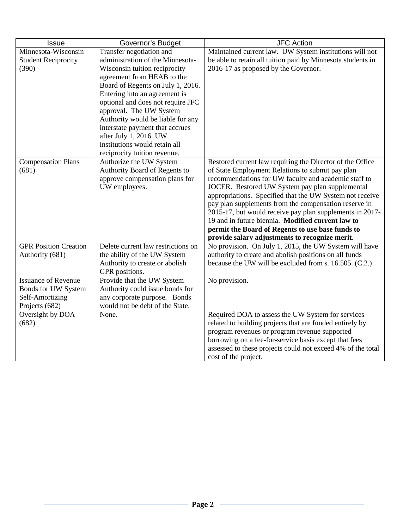| <b>Issue</b>                                                                           | Governor's Budget                                                                                                                                                                                                                                                                                                                                                                                                                    | <b>JFC Action</b>                                                                                                                                                                                                                                                                                                                                                                                                                                                                                                                                                    |
|----------------------------------------------------------------------------------------|--------------------------------------------------------------------------------------------------------------------------------------------------------------------------------------------------------------------------------------------------------------------------------------------------------------------------------------------------------------------------------------------------------------------------------------|----------------------------------------------------------------------------------------------------------------------------------------------------------------------------------------------------------------------------------------------------------------------------------------------------------------------------------------------------------------------------------------------------------------------------------------------------------------------------------------------------------------------------------------------------------------------|
| Minnesota-Wisconsin<br><b>Student Reciprocity</b><br>(390)                             | Transfer negotiation and<br>administration of the Minnesota-<br>Wisconsin tuition reciprocity<br>agreement from HEAB to the<br>Board of Regents on July 1, 2016.<br>Entering into an agreement is<br>optional and does not require JFC<br>approval. The UW System<br>Authority would be liable for any<br>interstate payment that accrues<br>after July 1, 2016. UW<br>institutions would retain all<br>reciprocity tuition revenue. | Maintained current law. UW System institutions will not<br>be able to retain all tuition paid by Minnesota students in<br>2016-17 as proposed by the Governor.                                                                                                                                                                                                                                                                                                                                                                                                       |
| <b>Compensation Plans</b><br>(681)                                                     | Authorize the UW System<br>Authority Board of Regents to<br>approve compensation plans for<br>UW employees.                                                                                                                                                                                                                                                                                                                          | Restored current law requiring the Director of the Office<br>of State Employment Relations to submit pay plan<br>recommendations for UW faculty and academic staff to<br>JOCER. Restored UW System pay plan supplemental<br>appropriations. Specified that the UW System not receive<br>pay plan supplements from the compensation reserve in<br>2015-17, but would receive pay plan supplements in 2017-<br>19 and in future biennia. Modified current law to<br>permit the Board of Regents to use base funds to<br>provide salary adjustments to recognize merit. |
| <b>GPR Position Creation</b><br>Authority (681)                                        | Delete current law restrictions on<br>the ability of the UW System<br>Authority to create or abolish<br>GPR positions.                                                                                                                                                                                                                                                                                                               | No provision. On July 1, 2015, the UW System will have<br>authority to create and abolish positions on all funds<br>because the UW will be excluded from s. 16.505. (C.2.)                                                                                                                                                                                                                                                                                                                                                                                           |
| <b>Issuance of Revenue</b><br>Bonds for UW System<br>Self-Amortizing<br>Projects (682) | Provide that the UW System<br>Authority could issue bonds for<br>any corporate purpose. Bonds<br>would not be debt of the State.                                                                                                                                                                                                                                                                                                     | No provision.                                                                                                                                                                                                                                                                                                                                                                                                                                                                                                                                                        |
| Oversight by DOA<br>(682)                                                              | None.                                                                                                                                                                                                                                                                                                                                                                                                                                | Required DOA to assess the UW System for services<br>related to building projects that are funded entirely by<br>program revenues or program revenue supported<br>borrowing on a fee-for-service basis except that fees<br>assessed to these projects could not exceed 4% of the total<br>cost of the project.                                                                                                                                                                                                                                                       |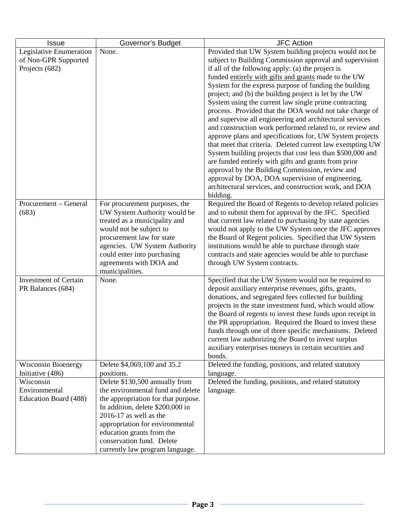| <b>Issue</b>                                   | Governor's Budget                   | <b>JFC Action</b>                                                                                          |
|------------------------------------------------|-------------------------------------|------------------------------------------------------------------------------------------------------------|
| Legislative Enumeration                        | None.                               | Provided that UW System building projects would not be                                                     |
| of Non-GPR Supported                           |                                     | subject to Building Commission approval and supervision                                                    |
| Projects (682)                                 |                                     | if all of the following apply: (a) the project is                                                          |
|                                                |                                     | funded entirely with gifts and grants made to the UW                                                       |
|                                                |                                     | System for the express purpose of funding the building                                                     |
|                                                |                                     | project; and (b) the building project is let by the UW                                                     |
|                                                |                                     | System using the current law single prime contracting                                                      |
|                                                |                                     | process. Provided that the DOA would not take charge of                                                    |
|                                                |                                     | and supervise all engineering and architectural services                                                   |
|                                                |                                     | and construction work performed related to, or review and                                                  |
|                                                |                                     | approve plans and specifications for, UW System projects                                                   |
|                                                |                                     | that meet that criteria. Deleted current law exempting UW                                                  |
|                                                |                                     | System building projects that cost less than \$500,000 and                                                 |
|                                                |                                     | are funded entirely with gifts and grants from prior                                                       |
|                                                |                                     | approval by the Building Commission, review and                                                            |
|                                                |                                     | approval by DOA, DOA supervision of engineering,<br>architectural services, and construction work, and DOA |
|                                                |                                     | bidding.                                                                                                   |
| Procurement - General                          | For procurement purposes, the       | Required the Board of Regents to develop related policies                                                  |
| (683)                                          | UW System Authority would be        | and to submit them for approval by the JFC. Specified                                                      |
|                                                | treated as a municipality and       | that current law related to purchasing by state agencies                                                   |
|                                                | would not be subject to             | would not apply to the UW System once the JFC approves                                                     |
|                                                | procurement law for state           | the Board of Regent policies. Specified that UW System                                                     |
|                                                | agencies. UW System Authority       | institutions would be able to purchase through state                                                       |
|                                                | could enter into purchasing         | contracts and state agencies would be able to purchase                                                     |
|                                                | agreements with DOA and             | through UW System contracts.                                                                               |
|                                                | municipalities.                     |                                                                                                            |
| <b>Investment of Certain</b>                   | None.                               | Specified that the UW System would not be required to                                                      |
| PR Balances (684)                              |                                     | deposit auxiliary enterprise revenues, gifts, grants,                                                      |
|                                                |                                     | donations, and segregated fees collected for building                                                      |
|                                                |                                     | projects in the state investment fund, which would allow                                                   |
|                                                |                                     | the Board of regents to invest these funds upon receipt in                                                 |
|                                                |                                     | the PR appropriation. Required the Board to invest these                                                   |
|                                                |                                     | funds through one of three specific mechanisms. Deleted                                                    |
|                                                |                                     | current law authorizing the Board to invest surplus                                                        |
|                                                |                                     | auxiliary enterprises moneys in certain securities and                                                     |
|                                                | Delete \$4,069,100 and 35.2         | bonds.<br>Deleted the funding, positions, and related statutory                                            |
| <b>Wisconsin Bioenergy</b><br>Initiative (486) | positions.                          | language.                                                                                                  |
| Wisconsin                                      | Delete \$130,500 annually from      | Deleted the funding, positions, and related statutory                                                      |
| Environmental                                  | the environmental fund and delete   | language.                                                                                                  |
| Education Board (488)                          | the appropriation for that purpose. |                                                                                                            |
|                                                | In addition, delete \$200,000 in    |                                                                                                            |
|                                                | $2016-17$ as well as the            |                                                                                                            |
|                                                | appropriation for environmental     |                                                                                                            |
|                                                | education grants from the           |                                                                                                            |
|                                                | conservation fund. Delete           |                                                                                                            |
|                                                | currently law program language.     |                                                                                                            |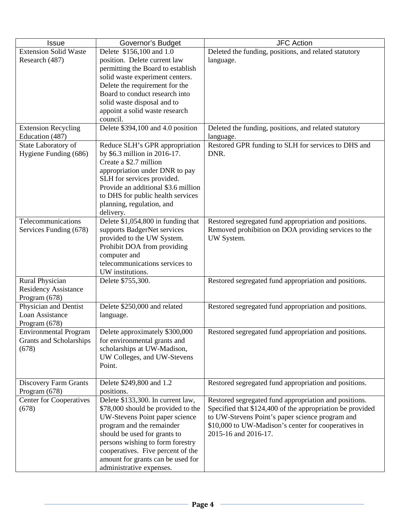| <b>Issue</b>                                 | Governor's Budget                                              | <b>JFC Action</b>                                                           |
|----------------------------------------------|----------------------------------------------------------------|-----------------------------------------------------------------------------|
| <b>Extension Solid Waste</b>                 | Delete \$156,100 and 1.0                                       | Deleted the funding, positions, and related statutory                       |
| Research (487)                               | position. Delete current law                                   | language.                                                                   |
|                                              | permitting the Board to establish                              |                                                                             |
|                                              | solid waste experiment centers.                                |                                                                             |
|                                              | Delete the requirement for the                                 |                                                                             |
|                                              | Board to conduct research into                                 |                                                                             |
|                                              | solid waste disposal and to                                    |                                                                             |
|                                              | appoint a solid waste research                                 |                                                                             |
|                                              | council.                                                       |                                                                             |
| <b>Extension Recycling</b>                   | Delete \$394,100 and 4.0 position                              | Deleted the funding, positions, and related statutory                       |
| Education (487)                              |                                                                | language.<br>Restored GPR funding to SLH for services to DHS and            |
| State Laboratory of<br>Hygiene Funding (686) | Reduce SLH's GPR appropriation<br>by \$6.3 million in 2016-17. | DNR.                                                                        |
|                                              | Create a \$2.7 million                                         |                                                                             |
|                                              | appropriation under DNR to pay                                 |                                                                             |
|                                              | SLH for services provided.                                     |                                                                             |
|                                              | Provide an additional \$3.6 million                            |                                                                             |
|                                              | to DHS for public health services                              |                                                                             |
|                                              | planning, regulation, and                                      |                                                                             |
|                                              | delivery.                                                      |                                                                             |
| Telecommunications                           | Delete \$1,054,800 in funding that                             | Restored segregated fund appropriation and positions.                       |
| Services Funding (678)                       | supports BadgerNet services                                    | Removed prohibition on DOA providing services to the                        |
|                                              | provided to the UW System.                                     | UW System.                                                                  |
|                                              | Prohibit DOA from providing                                    |                                                                             |
|                                              | computer and                                                   |                                                                             |
|                                              | telecommunications services to                                 |                                                                             |
|                                              | UW institutions.                                               |                                                                             |
| Rural Physician                              | Delete \$755,300.                                              | Restored segregated fund appropriation and positions.                       |
| <b>Residency Assistance</b><br>Program (678) |                                                                |                                                                             |
| Physician and Dentist                        | Delete \$250,000 and related                                   | Restored segregated fund appropriation and positions.                       |
| Loan Assistance                              | language.                                                      |                                                                             |
| Program (678)                                |                                                                |                                                                             |
| <b>Environmental Program</b>                 | Delete approximately \$300,000                                 | Restored segregated fund appropriation and positions.                       |
| Grants and Scholarships                      | for environmental grants and                                   |                                                                             |
| (678)                                        | scholarships at UW-Madison,                                    |                                                                             |
|                                              | UW Colleges, and UW-Stevens                                    |                                                                             |
|                                              | Point.                                                         |                                                                             |
|                                              |                                                                |                                                                             |
| <b>Discovery Farm Grants</b>                 | Delete \$249,800 and 1.2                                       | Restored segregated fund appropriation and positions.                       |
| Program (678)                                | positions.                                                     |                                                                             |
| <b>Center for Cooperatives</b>               | Delete \$133,300. In current law,                              | Restored segregated fund appropriation and positions.                       |
| (678)                                        | \$78,000 should be provided to the                             | Specified that \$124,400 of the appropriation be provided                   |
|                                              | UW-Stevens Point paper science                                 | to UW-Stevens Point's paper science program and                             |
|                                              | program and the remainder<br>should be used for grants to      | \$10,000 to UW-Madison's center for cooperatives in<br>2015-16 and 2016-17. |
|                                              | persons wishing to form forestry                               |                                                                             |
|                                              | cooperatives. Five percent of the                              |                                                                             |
|                                              | amount for grants can be used for                              |                                                                             |
|                                              | administrative expenses.                                       |                                                                             |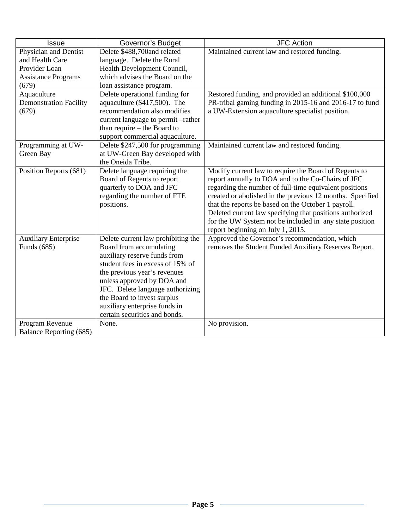| <b>Issue</b>                  | Governor's Budget                  | <b>JFC Action</b>                                         |
|-------------------------------|------------------------------------|-----------------------------------------------------------|
| Physician and Dentist         | Delete \$488,700and related        | Maintained current law and restored funding.              |
| and Health Care               | language. Delete the Rural         |                                                           |
| Provider Loan                 | Health Development Council,        |                                                           |
| <b>Assistance Programs</b>    | which advises the Board on the     |                                                           |
| (679)                         | loan assistance program.           |                                                           |
| Aquaculture                   | Delete operational funding for     | Restored funding, and provided an additional \$100,000    |
| <b>Demonstration Facility</b> | aquaculture (\$417,500). The       | PR-tribal gaming funding in 2015-16 and 2016-17 to fund   |
| (679)                         | recommendation also modifies       | a UW-Extension aquaculture specialist position.           |
|                               | current language to permit -rather |                                                           |
|                               | than require – the Board to        |                                                           |
|                               | support commercial aquaculture.    |                                                           |
| Programming at UW-            | Delete \$247,500 for programming   | Maintained current law and restored funding.              |
| Green Bay                     | at UW-Green Bay developed with     |                                                           |
|                               | the Oneida Tribe.                  |                                                           |
| Position Reports (681)        | Delete language requiring the      | Modify current law to require the Board of Regents to     |
|                               | Board of Regents to report         | report annually to DOA and to the Co-Chairs of JFC        |
|                               | quarterly to DOA and JFC           | regarding the number of full-time equivalent positions    |
|                               | regarding the number of FTE        | created or abolished in the previous 12 months. Specified |
|                               | positions.                         | that the reports be based on the October 1 payroll.       |
|                               |                                    | Deleted current law specifying that positions authorized  |
|                               |                                    | for the UW System not be included in any state position   |
|                               |                                    | report beginning on July 1, 2015.                         |
| <b>Auxiliary Enterprise</b>   | Delete current law prohibiting the | Approved the Governor's recommendation, which             |
| Funds (685)                   | Board from accumulating            | removes the Student Funded Auxiliary Reserves Report.     |
|                               | auxiliary reserve funds from       |                                                           |
|                               | student fees in excess of 15% of   |                                                           |
|                               | the previous year's revenues       |                                                           |
|                               | unless approved by DOA and         |                                                           |
|                               | JFC. Delete language authorizing   |                                                           |
|                               | the Board to invest surplus        |                                                           |
|                               | auxiliary enterprise funds in      |                                                           |
|                               | certain securities and bonds.      |                                                           |
| Program Revenue               | None.                              | No provision.                                             |
| Balance Reporting (685)       |                                    |                                                           |